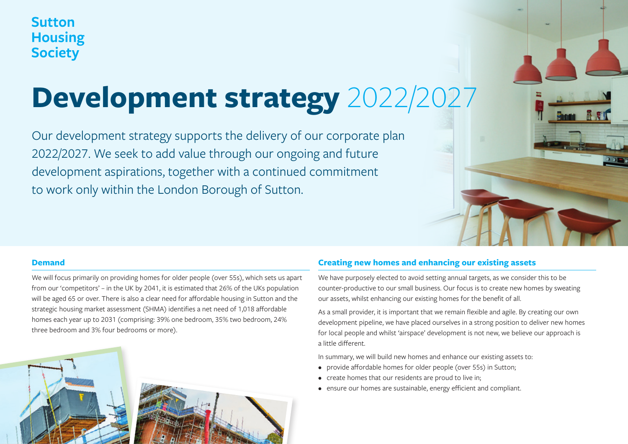# **Sutton Housing Society**

# **Development strategy** 2022/2027

Our development strategy supports the delivery of our corporate plan 2022/2027. We seek to add value through our ongoing and future development aspirations, together with a continued commitment to work only within the London Borough of Sutton.



We will focus primarily on providing homes for older people (over 55s), which sets us apart from our 'competitors' – in the UK by 2041, it is estimated that 26% of the UKs population will be aged 65 or over. There is also a clear need for affordable housing in Sutton and the strategic housing market assessment (SHMA) identifies a net need of 1,018 affordable homes each year up to 2031 (comprising: 39% one bedroom, 35% two bedroom, 24% three bedroom and 3% four bedrooms or more).





### **Creating new homes and enhancing our existing assets**

We have purposely elected to avoid setting annual targets, as we consider this to be counter-productive to our small business. Our focus is to create new homes by sweating our assets, whilst enhancing our existing homes for the benefit of all.

As a small provider, it is important that we remain flexible and agile. By creating our own development pipeline, we have placed ourselves in a strong position to deliver new homes for local people and whilst 'airspace' development is not new, we believe our approach is a little different.

In summary, we will build new homes and enhance our existing assets to:

- provide affordable homes for older people (over 55s) in Sutton;
- create homes that our residents are proud to live in;
- ensure our homes are sustainable, energy efficient and compliant.